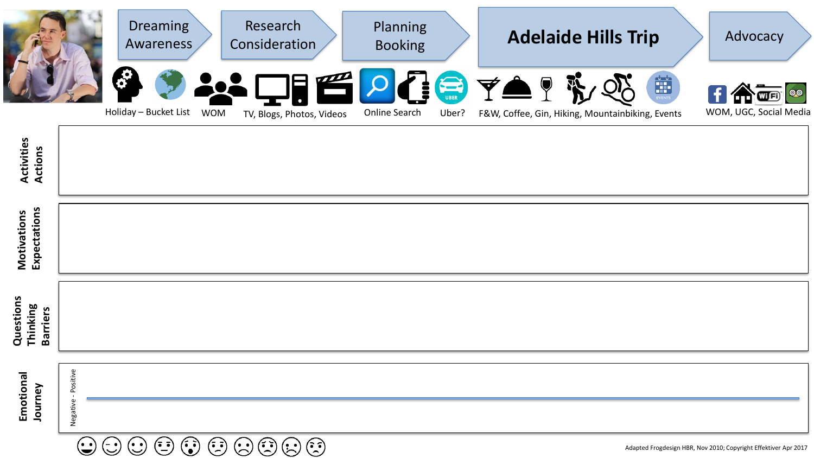|                                          |                                           | Dreaming<br>Awareness |            | Research<br>Consideration | Planning<br><b>Booking</b> |                | <b>Adelaide Hills Trip</b>                                                | Advocacy                   |
|------------------------------------------|-------------------------------------------|-----------------------|------------|---------------------------|----------------------------|----------------|---------------------------------------------------------------------------|----------------------------|
|                                          |                                           | Holiday - Bucket List | <b>WOM</b> | TV, Blogs, Photos, Videos | Online Search              | S COR<br>Uber? | <b>YA</b> ?<br>EVENTS<br>F&W, Coffee, Gin, Hiking, Mountainbiking, Events | <br>WOM, UGC, Social Media |
| <b>Activities</b><br>Actions             |                                           |                       |            |                           |                            |                |                                                                           |                            |
| Expectations<br>Motivations              |                                           |                       |            |                           |                            |                |                                                                           |                            |
| Questions<br>Thinking<br><b>Barriers</b> |                                           |                       |            |                           |                            |                |                                                                           |                            |
| Emotional<br>Journey                     | Negative - Positive<br>$\curvearrowright$ |                       |            | $\cap$                    |                            |                |                                                                           |                            |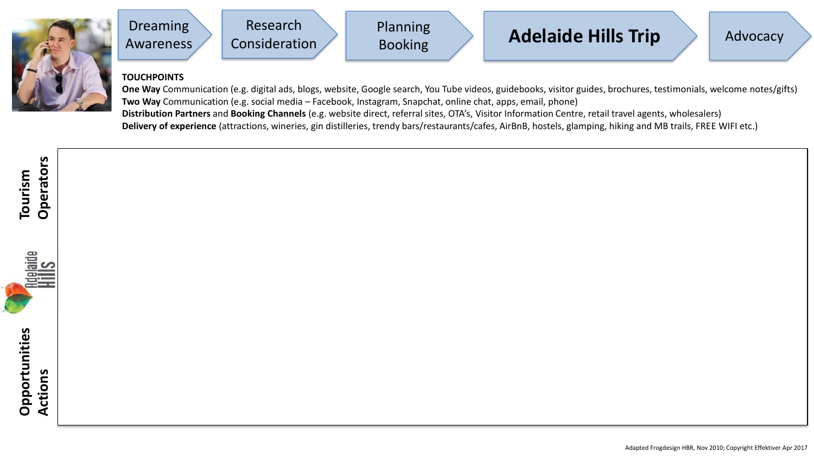



## **TOUCHPOINTS**

**One Way** Communication (e.g. digital ads, blogs, website, Google search, You Tube videos, guidebooks, visitor guides, brochures, testimonials, welcome notes/gifts) **Two Way** Communication (e.g. social media – Facebook, Instagram, Snapchat, online chat, apps, email, phone) **Distribution Partners** and **Booking Channels** (e.g. website direct, referral sites, OTA's, Visitor Information Centre, retail travel agents, wholesalers) **Delivery of experience** (attractions, wineries, gin distilleries, trendy bars/restaurants/cafes, AirBnB, hostels, glamping, hiking and MB trails, FREE WIFI etc.)

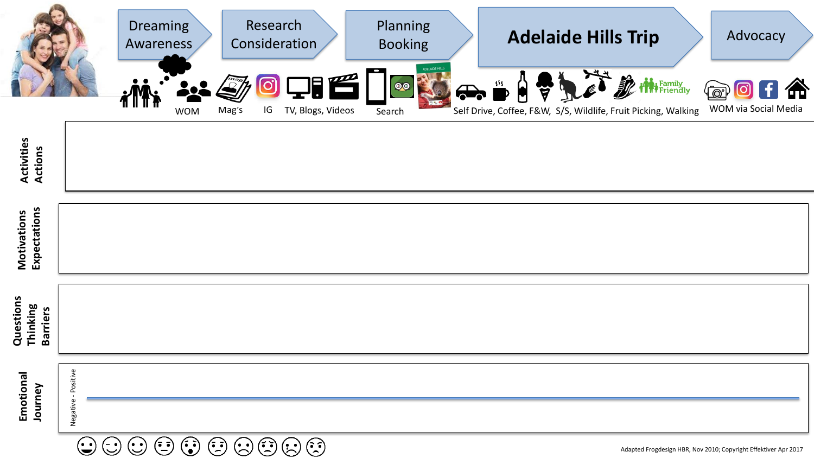|                                          |                        | <b>Dreaming</b><br>Awareness |            |            | Research<br>Consideration<br>18    | Planning<br><b>Booking</b><br><b>IDELAIDE HIL</b> |             | <b>Adelaide Hills Trip</b>                                                                | Advocacy             |  |
|------------------------------------------|------------------------|------------------------------|------------|------------|------------------------------------|---------------------------------------------------|-------------|-------------------------------------------------------------------------------------------|----------------------|--|
|                                          |                        |                              | <b>WOM</b> | ြ<br>Mag's | $\mathsf{IG}$<br>TV, Blogs, Videos | $\bullet$<br>Search                               | $\bigoplus$ | " A & Let it it riendly<br>Self Drive, Coffee, F&W, S/S, Wildlife, Fruit Picking, Walking | WOM via Social Media |  |
| <b>Activities<br/>Actions</b>            |                        |                              |            |            |                                    |                                                   |             |                                                                                           |                      |  |
| Expectations<br>Motivations              |                        |                              |            |            |                                    |                                                   |             |                                                                                           |                      |  |
| Questions<br>Thinking<br><b>Barriers</b> |                        |                              |            |            |                                    |                                                   |             |                                                                                           |                      |  |
| Emotional<br>Journey                     | - Positive<br>Negative |                              |            |            |                                    |                                                   |             |                                                                                           |                      |  |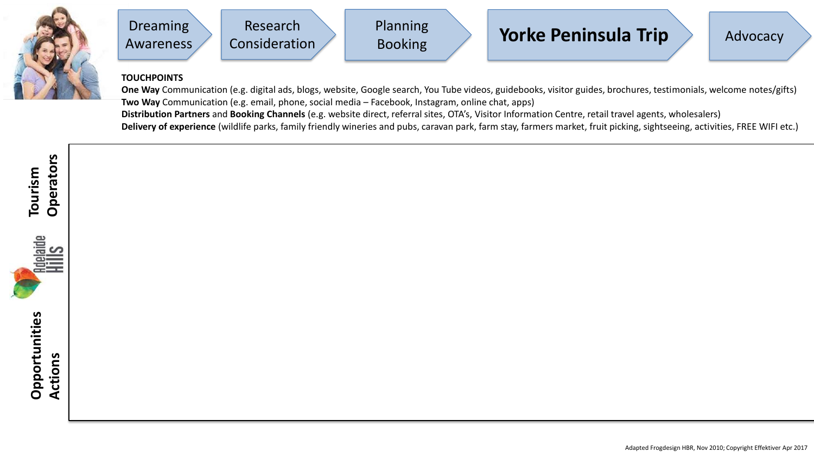





## **TOUCHPOINTS**

**One Way** Communication (e.g. digital ads, blogs, website, Google search, You Tube videos, guidebooks, visitor guides, brochures, testimonials, welcome notes/gifts) **Two Way** Communication (e.g. email, phone, social media – Facebook, Instagram, online chat, apps) **Distribution Partners** and **Booking Channels** (e.g. website direct, referral sites, OTA's, Visitor Information Centre, retail travel agents, wholesalers) **Delivery of experience** (wildlife parks, family friendly wineries and pubs, caravan park, farm stay, farmers market, fruit picking, sightseeing, activities, FREE WIFI etc.)

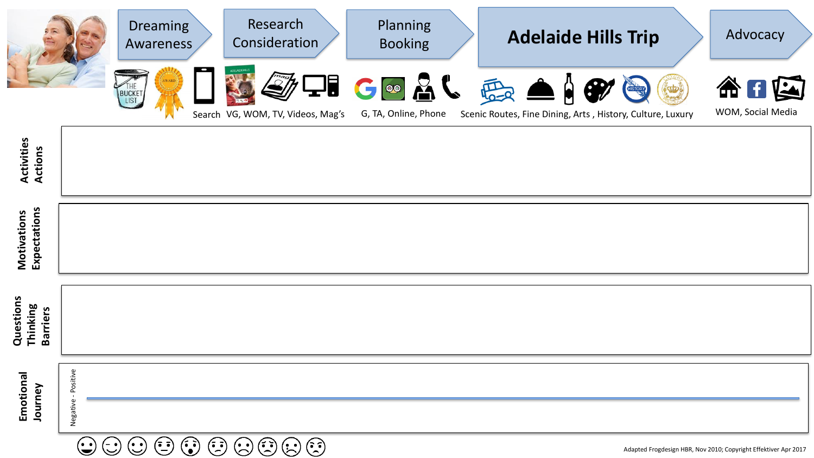